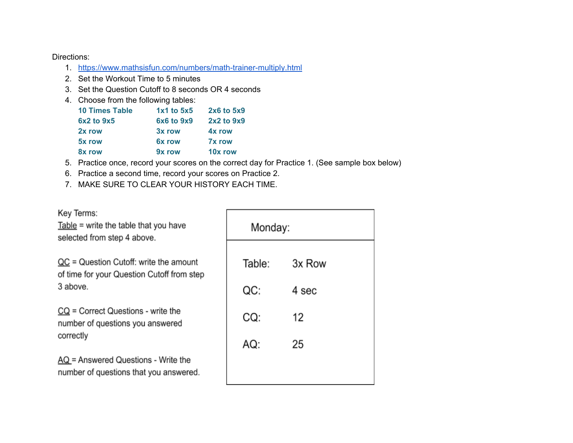Directions:

- 1. <https://www.mathsisfun.com/numbers/math-trainer-multiply.html>
- 2. Set the Workout Time to 5 minutes
- 3. Set the Question Cutoff to 8 seconds OR 4 seconds
- 4. Choose from the following tables:

| <b>10 Times Table</b> | 1x1 to 5x5 | 2x6 to 5x9    |
|-----------------------|------------|---------------|
| 6x2 to 9x5            | 6x6 to 9x9 | 2x2 to 9x9    |
| 2x row                | 3x row     | 4x row        |
| 5x row                | 6x row     | <b>7x row</b> |
| 8x row                | 9x row     | 10x row       |

- 5. Practice once, record your scores on the correct day for Practice 1. (See sample box below)
- 6. Practice a second time, record your scores on Practice 2.
- 7. MAKE SURE TO CLEAR YOUR HISTORY EACH TIME.

| Key Terms:<br>$Table = write$ the table that you have<br>selected from step 4 above.       | Monday: |        |  |  |
|--------------------------------------------------------------------------------------------|---------|--------|--|--|
| $QC = Question$ Cutoff: write the amount<br>of time for your Question Cutoff from step     | Table:  | 3x Row |  |  |
| 3 above.                                                                                   | QC:     | 4 sec  |  |  |
| $CQ$ = Correct Questions - write the<br>number of questions you answered                   | CQ:     | 12     |  |  |
| correctly                                                                                  | AQ:     | 25     |  |  |
| $\overline{AQ}$ = Answered Questions - Write the<br>number of questions that you answered. |         |        |  |  |